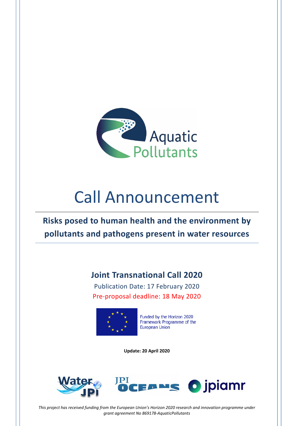

# Call Announcement

**Risks posed to human health and the environment by pollutants and pathogens present in water resources**

# **Joint Transnational Call 2020**

Publication Date: 17 February 2020 Pre-proposal deadline: 18 May 2020



Funded by the Horizon 2020 Framework Programme of the **European Union** 

**Update: 20 April 2020** 





*This project has received funding from the European Union's Horizon 2020 research and innovation programme under grant agreement No 869178‐AquaticPollutants*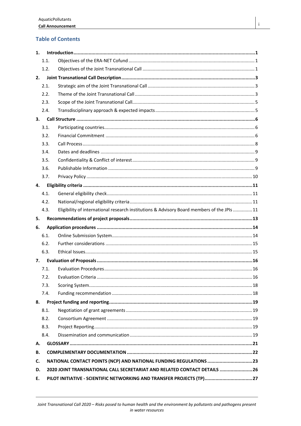# **Table of Contents**

| 1. |                                                                           |                                                                                             |  |  |  |
|----|---------------------------------------------------------------------------|---------------------------------------------------------------------------------------------|--|--|--|
|    | 1.1.                                                                      |                                                                                             |  |  |  |
|    | 1.2.                                                                      |                                                                                             |  |  |  |
| 2. |                                                                           |                                                                                             |  |  |  |
|    | 2.1.                                                                      |                                                                                             |  |  |  |
|    | 2.2.                                                                      |                                                                                             |  |  |  |
|    | 2.3.                                                                      |                                                                                             |  |  |  |
|    | 2.4.                                                                      |                                                                                             |  |  |  |
| 3. |                                                                           |                                                                                             |  |  |  |
|    | 3.1.                                                                      |                                                                                             |  |  |  |
|    | 3.2.                                                                      |                                                                                             |  |  |  |
|    | 3.3.                                                                      |                                                                                             |  |  |  |
|    | 3.4.                                                                      |                                                                                             |  |  |  |
|    | 3.5.                                                                      |                                                                                             |  |  |  |
|    | 3.6.                                                                      |                                                                                             |  |  |  |
|    | 3.7.                                                                      |                                                                                             |  |  |  |
| 4. |                                                                           |                                                                                             |  |  |  |
|    | 4.1.                                                                      |                                                                                             |  |  |  |
|    | 4.2.                                                                      |                                                                                             |  |  |  |
|    | 4.3.                                                                      | Eligibility of international research institutions & Advisory Board members of the JPIs  11 |  |  |  |
| 5. |                                                                           |                                                                                             |  |  |  |
| 6. |                                                                           |                                                                                             |  |  |  |
|    | 6.1.                                                                      |                                                                                             |  |  |  |
|    | 6.2.                                                                      |                                                                                             |  |  |  |
|    | 6.3.                                                                      |                                                                                             |  |  |  |
| 7. |                                                                           |                                                                                             |  |  |  |
|    | 7.1.                                                                      |                                                                                             |  |  |  |
|    |                                                                           |                                                                                             |  |  |  |
|    | 7.3.                                                                      |                                                                                             |  |  |  |
|    | 7.4.                                                                      |                                                                                             |  |  |  |
| 8. |                                                                           |                                                                                             |  |  |  |
|    | 8.1.                                                                      |                                                                                             |  |  |  |
|    | 8.2.                                                                      |                                                                                             |  |  |  |
|    | 8.3.                                                                      |                                                                                             |  |  |  |
|    | 8.4.                                                                      |                                                                                             |  |  |  |
| А. |                                                                           |                                                                                             |  |  |  |
| В. |                                                                           |                                                                                             |  |  |  |
| C. | NATIONAL CONTACT POINTS (NCP) AND NATIONAL FUNDING REGULATIONS 23         |                                                                                             |  |  |  |
| D. | 2020 JOINT TRANSNATIONAL CALL SECRETARIAT AND RELATED CONTACT DETAILS  26 |                                                                                             |  |  |  |
| Ε. | PILOT INITIATIVE - SCIENTIFIC NETWORKING AND TRANSFER PROJECTS (TP)27     |                                                                                             |  |  |  |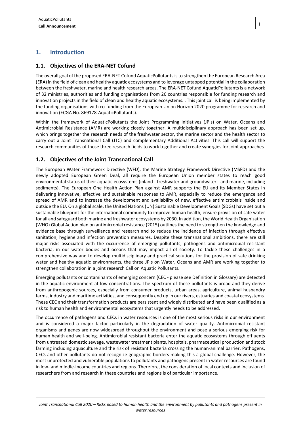# **1. Introduction**

# **1.1. Objectives of the ERA‐NET Cofund**

The overall goal of the proposed ERA-NET Cofund AquaticPollutants is to strengthen the European Research Area (ERA) in the field of clean and healthy aquatic ecosystems and to leverage untapped potential in the collaboration between the freshwater, marine and health research areas. The ERA-NET Cofund AquaticPollutants is a network of 32 ministries, authorities and funding organisations from 26 countries responsible for funding research and innovation projects in the field of clean and healthy aquatic ecosystems. . This joint call is being implemented by the funding organisations with co-funding from the European Union Horizon 2020 programme for research and innovation (ECGA No. 869178-AquaticPollutants).

Within the framework of AquaticPollutants the Joint Programming Initiatives (JPIs) on Water, Oceans and Antimicrobial Resistance (AMR) are working closely together. A multidisciplinary approach has been set up, which brings together the research needs of the freshwater sector, the marine sector and the health sector to carry out a Joint Transnational Call (JTC) and complementary Additional Activities. This call will support the research communities of those three research fields to work together and create synergies for joint approaches.

# **1.2. Objectives of the Joint Transnational Call**

The European Water Framework Directive (WFD), the Marine Strategy Framework Directive (MSFD) and the newly adopted European Green Deal, all require the European Union member states to reach good environmental status of their aquatic ecosystems (inland - freshwater and groundwater - and marine, including sediments). The European One Health Action Plan against AMR supports the EU and its Member States in delivering innovative, effective and sustainable responses to AMR, especially to reduce the emergence and spread of AMR and to increase the development and availability of new, effective antimicrobials inside and outside the EU. On a global scale, the United Nations (UN) Sustainable Development Goals (SDGs) have set out a sustainable blueprint for the international community to improve human health, ensure provision of safe water for all and safeguard both marine and freshwater ecosystems by 2030. In addition, the World Health Organization (WHO) Global Action plan on antimicrobial resistance (2015) outlines the need to strengthen the knowledge and evidence base through surveillance and research and to reduce the incidence of infection through effective sanitation, hygiene and infection prevention measures. Despite these transnational ambitions, there are still major risks associated with the occurrence of emerging pollutants, pathogens and antimicrobial resistant bacteria, in our water bodies and oceans that may impact all of society. To tackle these challenges in a comprehensive way and to develop multidisciplinary and practical solutions for the provision of safe drinking water and healthy aquatic environments, the three JPIs on Water, Oceans and AMR are working together to strengthen collaboration in a joint research Call on Aquatic Pollutants.

Emerging pollutants or contaminants of emerging concern (CEC - please see Definition in Glossary) are detected in the aquatic environment at low concentrations. The spectrum of these pollutants is broad and they derive from anthropogenic sources, especially from consumer products, urban areas, agriculture, animal husbandry farms, industry and maritime activities, and consequently end up in our rivers, estuaries and coastal ecosystems. These CEC and their transformation products are persistent and widely distributed and have been qualified as a risk to human health and environmental ecosystems that urgently needs to be addressed.

The occurrence of pathogens and CECs in water resources is one of the most serious risks in our environment and is considered a major factor particularly in the degradation of water quality. Antimicrobial resistant organisms and genes are now widespread throughout the environment and pose a serious emerging risk for human health and well-being. Antimicrobial resistant bacteria enter the aquatic ecosystems through effluents from untreated domestic sewage, wastewater treatment plants, hospitals, pharmaceutical production and stock farming including aquaculture and the risk of resistant bacteria crossing the human-animal barrier. Pathogens, CECs and other pollutants do not recognize geographic borders making this a global challenge. However, the most unprotected and vulnerable populations to pollutants and pathogens present in water resources are found in low- and middle-income countries and regions. Therefore, the consideration of local contexts and inclusion of researchers from and research in these countries and regions is of particular importance.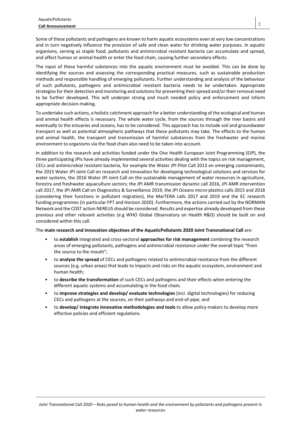Some of these pollutants and pathogens are known to harm aquatic ecosystems even at very low concentrations and in turn negatively influence the provision of safe and clean water for drinking water purposes. In aquatic organisms, serving as staple food, pollutants and antimicrobial resistant bacteria can accumulate and spread, and affect human or animal health or enter the food chain, causing further secondary effects.

The input of these harmful substances into the aquatic environment must be avoided. This can be done by identifying the sources and assessing the corresponding practical measures, such as sustainable production methods and responsible handling of emerging pollutants. Further understanding and analysis of the behaviour of such pollutants, pathogens and antimicrobial resistant bacteria needs to be undertaken. Appropriate strategies for their detection and monitoring and solutions for preventing their spread and/or their removal need to be further developed. This will underpin strong and much needed policy and enforcement and inform appropriate decision-making.

To undertake such actions, a holistic catchment approach for a better understanding of the ecological and human and animal health effects is necessary. The whole water cycle, from the sources through the river basins and eventually to the estuaries and oceans, has to be considered. This approach has to include soil and groundwater transport as well as potential atmospheric pathways that these pollutants may take. The effects to the human and animal health, the transport and transmission of harmful substances from the freshwater and marine environment to organisms via the food chain also need to be taken into account.

In addition to the research and activities funded under the One Health European Joint Programming (EJP), the three participating JPIs have already implemented several activities dealing with the topics on risk management, CECs and antimicrobial resistant bacteria, for example the Water JPI Pilot Call 2013 on emerging contaminants, the 2015 Water JPI Joint Call on research and innovation for developing technological solutions and services for water systems, the 2016 Water JPI Joint Call on the sustainable management of water resources in agriculture, forestry and freshwater aquaculture sectors; the JPI AMR transmission dynamic call 2016, JPI AMR intervention call 2017, the JPI AMR Call on Diagnostics & Surveillance 2019, the JPI Oceans micro-plastics calls 2015 and 2018 (considering their functions in pollutant migration), the MarTERA calls 2017 and 2019 and the EC research funding programmes (in particular FP7 and Horizon 2020). Furthermore, the actions carried out by the NORMAN Network and the COST action NEREUS should be considered. Results and expertise already developed from these previous and other relevant activities (e.g WHO Global Observatory on Health R&D) should be built on and considered within this call.

The **main research and innovation objectives of the AquaticPollutants 2020 Joint Transnational Call** are:

- to **establish** integrated and cross-sectoral **approaches for risk management** combining the research areas of emerging pollutants, pathogens and antimicrobial resistance under the overall topic "from the source to the mouth";
- to **analyse the spread** of CECs and pathogens related to antimicrobial resistance from the different sources (e.g. urban areas) that leads to impacts and risks on the aquatic ecosystem, environment and human health;
- to **describe the transformation** of such CECs and pathogens and their effects when entering the different aquatic systems and accumulating in the food chain;
- to **improve strategies and develop/ evaluate technologies** (incl. digital technologies) for reducing CECs and pathogens at the sources, on their pathways and end-of-pipe; and
- to **develop/ integrate innovative methodologies and tools** to allow policy-makers to develop more effective policies and efficient regulations.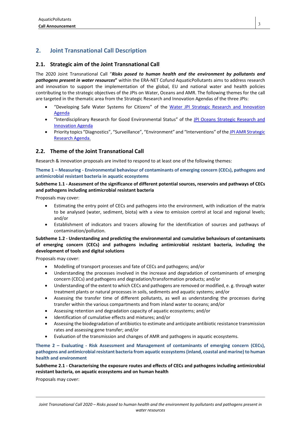# **2. Joint Transnational Call Description**

# **2.1. Strategic aim of the Joint Transnational Call**

The 2020 Joint Transnational Call "*Risks posed to human health and the environment by pollutants and pathogens present in water resources***"** within the ERA-NET Cofund AquaticPollutants aims to address research and innovation to support the implementation of the global, EU and national water and health policies contributing to the strategic objectives of the JPIs on Water, Oceans and AMR. The following themes for the call are targeted in the thematic area from the Strategic Research and Innovation Agendas of the three JPIs:

- "Developing Safe Water Systems for Citizens" of the Water JPI Strategic Research and Innovation Agenda
- "Interdisciplinary Research for Good Environmental Status" of the JPI Oceans Strategic Research and Innovation Agenda
- Priority topics "Diagnostics", "Surveillance", "Environment" and "Interventions" of the JPI AMR Strategic Research Agenda.

# **2.2. Theme of the Joint Transnational Call**

Research & innovation proposals are invited to respond to at least one of the following themes:

**Theme 1 – Measuring ‐ Environmental behaviour of contaminants of emerging concern (CECs), pathogens and antimicrobial resistant bacteria in aquatic ecosystems** 

### **Subtheme 1.1 ‐ Assessment of the significance of different potential sources, reservoirs and pathways of CECs and pathogens including antimicrobial resistant bacteria**

Proposals may cover:

- Estimating the entry point of CECs and pathogens into the environment, with indication of the matrix to be analysed (water, sediment, biota) with a view to emission control at local and regional levels; and/or
- Establishment of indicators and tracers allowing for the identification of sources and pathways of contamination/pollution.

### **Subtheme 1.2 ‐ Understanding and predicting the environmental and cumulative behaviours of contaminants of emerging concern (CECs) and pathogens including antimicrobial resistant bacteria, including the development of tools and digital solutions**

Proposals may cover:

- Modelling of transport processes and fate of CECs and pathogens; and/or
- Understanding the processes involved in the increase and degradation of contaminants of emerging concern (CECs) and pathogens and degradation/transformation products; and/or
- Understanding of the extent to which CECs and pathogens are removed or modified, e. g. through water treatment plants or natural processes in soils, sediments and aquatic systems; and/or
- Assessing the transfer time of different pollutants, as well as understanding the processes during transfer within the various compartments and from inland water to oceans; and/or
- Assessing retention and degradation capacity of aquatic ecosystems; and/or
- Identification of cumulative effects and mixtures; and/or
- Assessing the biodegradation of antibiotics to estimate and anticipate antibiotic resistance transmission rates and assessing gene transfer; and/or
- Evaluation of the transmission and changes of AMR and pathogens in aquatic ecosystems.

### **Theme 2 – Evaluating ‐ Risk Assessment and Management of contaminants of emerging concern (CECs), pathogens and antimicrobial resistant bacteria from aquatic ecosystems (inland, coastal and marine) to human health and environment**

### **Subtheme 2.1 ‐ Characterising the exposure routes and effects of CECs and pathogens including antimicrobial resistant bacteria, on aquatic ecosystems and on human health**

Proposals may cover: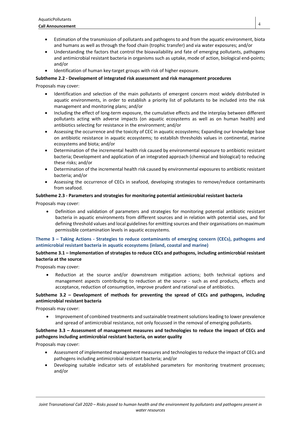- Estimation of the transmission of pollutants and pathogens to and from the aquatic environment, biota and humans as well as through the food chain (trophic transfer) and via water exposures; and/or
- Understanding the factors that control the bioavailability and fate of emerging pollutants, pathogens and antimicrobial resistant bacteria in organisms such as uptake, mode of action, biological end-points; and/or
- Identification of human key-target groups with risk of higher exposure.

### **Subtheme 2.2 ‐ Development of integrated risk assessment and risk management procedures**

Proposals may cover:

- Identification and selection of the main pollutants of emergent concern most widely distributed in aquatic environments, in order to establish a priority list of pollutants to be included into the risk management and monitoring plans; and/or
- Including the effect of long-term exposure, the cumulative effects and the interplay between different pollutants acting with adverse impacts (on aquatic ecosystems as well as on human health) and antibiotics selecting for resistance in the environment; and/or
- Assessing the occurrence and the toxicity of CEC in aquatic ecosystems; Expanding our knowledge base on antibiotic resistance in aquatic ecosystems; to establish thresholds values in continental, marine ecosystems and biota; and/or
- Determination of the incremental health risk caused by environmental exposure to antibiotic resistant bacteria; Development and application of an integrated approach (chemical and biological) to reducing these risks; and/or
- Determination of the incremental health risk caused by environmental exposures to antibiotic resistant bacteria; and/or
- Assessing the occurrence of CECs in seafood, developing strategies to remove/reduce contaminants from seafood.

# **Subtheme 2.3 ‐ Parameters and strategies for monitoring potential antimicrobial resistant bacteria**

Proposals may cover:

 Definition and validation of parameters and strategies for monitoring potential antibiotic resistant bacteria in aquatic environments from different sources and in relation with potential uses, and for defining threshold values and local guidelines for emitting sources and their organisations on maximum permissible contamination levels in aquatic ecosystems.

### **Theme 3 – Taking Actions ‐ Strategies to reduce contaminants of emerging concern (CECs), pathogens and antimicrobial resistant bacteria in aquatic ecosystems (inland, coastal and marine)**

# **Subtheme 3.1 – Implementation of strategies to reduce CECs and pathogens, including antimicrobial resistant bacteria at the source**

Proposals may cover:

 Reduction at the source and/or downstream mitigation actions; both technical options and management aspects contributing to reduction at the source - such as end products, effects and acceptance, reduction of consumption, improve prudent and rational use of antibiotics.

# **Subtheme 3.2 – Development of methods for preventing the spread of CECs and pathogens, including antimicrobial resistant bacteria**

Proposals may cover:

 Improvement of combined treatments and sustainable treatment solutions leading to lower prevalence and spread of antimicrobial resistance, not only focussed in the removal of emerging pollutants.

### **Subtheme 3.3 – Assessment of management measures and technologies to reduce the impact of CECs and pathogens including antimicrobial resistant bacteria, on water quality**

Proposals may cover:

- Assessment of implemented management measures and technologies to reduce the impact of CECs and pathogens including antimicrobial resistant bacteria; and/or
- Developing suitable indicator sets of established parameters for monitoring treatment processes; and/or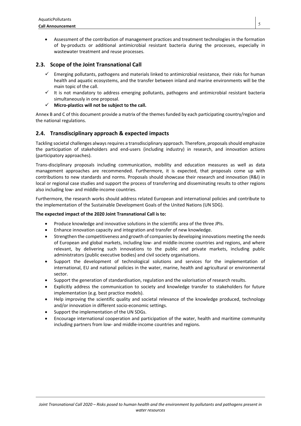Assessment of the contribution of management practices and treatment technologies in the formation of by-products or additional antimicrobial resistant bacteria during the processes, especially in wastewater treatment and reuse processes.

# **2.3. Scope of the Joint Transnational Call**

- $\checkmark$  Emerging pollutants, pathogens and materials linked to antimicrobial resistance, their risks for human health and aquatic ecosystems, and the transfer between inland and marine environments will be the main topic of the call.
- $\checkmark$  It is not mandatory to address emerging pollutants, pathogens and antimicrobial resistant bacteria simultaneously in one proposal.
- **Micro‐plastics will not be subject to the call.**

Annex B and C of this document provide a matrix of the themes funded by each participating country/region and the national regulations.

# **2.4. Transdisciplinary approach & expected impacts**

Tackling societal challenges always requires a transdisciplinary approach. Therefore, proposals should emphasize the participation of stakeholders and end-users (including industry) in research, and innovation actions (participatory approaches).

Trans-disciplinary proposals including communication, mobility and education measures as well as data management approaches are recommended. Furthermore, it is expected, that proposals come up with contributions to new standards and norms. Proposals should showcase their research and innovation (R&I) in local or regional case studies and support the process of transferring and disseminating results to other regions also including low- and middle-income countries.

Furthermore, the research works should address related European and international policies and contribute to the implementation of the Sustainable Development Goals of the United Nations (UN SDG).

### **The expected impact of the 2020 Joint Transnational Call is to:**

- Produce knowledge and innovative solutions in the scientific area of the three JPIs.
- Enhance innovation capacity and integration and transfer of new knowledge.
- Strengthen the competitiveness and growth of companies by developing innovations meeting the needs of European and global markets, including low- and middle-income countries and regions, and where relevant, by delivering such innovations to the public and private markets, including public administrators (public executive bodies) and civil society organisations.
- Support the development of technological solutions and services for the implementation of international, EU and national policies in the water, marine, health and agricultural or environmental sector.
- Support the generation of standardisation, regulation and the valorisation of research results.
- Explicitly address the communication to society and knowledge transfer to stakeholders for future implementation (e.g. best practice models).
- Help improving the scientific quality and societal relevance of the knowledge produced, technology and/or innovation in different socio-economic settings.
- Support the implementation of the UN SDGs.
- Encourage international cooperation and participation of the water, health and maritime community including partners from low- and middle-income countries and regions.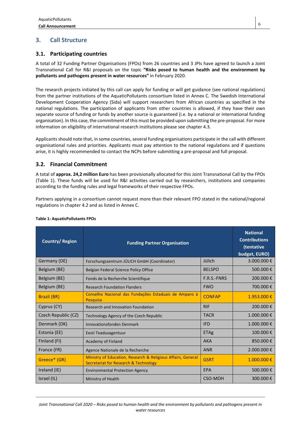# **3. Call Structure**

# **3.1. Participating countries**

A total of 32 Funding Partner Organisations (FPOs) from 26 countries and 3 JPIs have agreed to launch a Joint Transnational Call for R&I proposals on the topic **"Risks posed to human health and the environment by pollutants and pathogens present in water resources"** in February 2020.

The research projects initiated by this call can apply for funding or will get guidance (see national regulations) from the partner institutions of the AquaticPollutants consortium listed in Annex C. The Swedish International Development Cooperation Agency (Sida) will support researchers from African countries as specified in the national regulations. The participation of applicants from other countries is allowed, if they have their own separate source of funding or funds by another source is guaranteed (i.e. by a national or international funding organisation). In this case, the commitment of this must be provided upon submitting the pre-proposal. For more information on eligibility of international research institutions please see chapter 4.3.

Applicants should note that, in some countries, several funding organisations participate in the call with different organisational rules and priorities. Applicants must pay attention to the national regulations and if questions arise, it is highly recommended to contact the NCPs before submitting a pre-proposal and full proposal.

# **3.2. Financial Commitment**

A total of **approx. 24,2 million Euro** has been provisionally allocated for this Joint Transnational Call by the FPOs (Table 1). These funds will be used for R&I activities carried out by researchers, institutions and companies according to the funding rules and legal frameworks of their respective FPOs.

Partners applying in a consortium cannot request more than their relevant FPO stated in the national/regional regulations in chapter 4.2 and as listed in Annex C.

| <b>Country/Region</b> | <b>Funding Partner Organisation</b>                                                                   |                | <b>National</b><br><b>Contributions</b><br>(tentative<br>budget, EURO) |
|-----------------------|-------------------------------------------------------------------------------------------------------|----------------|------------------------------------------------------------------------|
| Germany (DE)          | Forschungszentrum JÜLICH GmbH (Coordinator)                                                           | Jülich         | 3.000.000€                                                             |
| Belgium (BE)          | Belgian Federal Science Policy Office                                                                 | <b>BELSPO</b>  | 500.000€                                                               |
| Belgium (BE)          | Fonds de la Recherche Scientifique                                                                    | F.R.S.-FNRS    | 200.000€                                                               |
| Belgium (BE)          | <b>Research Foundation Flanders</b>                                                                   | <b>FWO</b>     | 700.000€                                                               |
| <b>Brazil (BR)</b>    | Conselho Nacional das Fundações Estaduais de Amparo à<br><b>Pesquisa</b>                              | <b>CONFAP</b>  | $1.953.000 \text{€}$                                                   |
| Cyprus (CY)           | <b>Research and Innovation Foundation</b>                                                             | <b>RIF</b>     | 200.000€                                                               |
| Czech Republic (CZ)   | Technology Agency of the Czech Republic                                                               | <b>TACR</b>    | 1.000.000€                                                             |
| Denmark (DK)          | Innovationsfonden Denmark                                                                             | <b>IFD</b>     | $1.000.000$ €                                                          |
| Estonia (EE)          | Eesti Teadusagentuur                                                                                  | <b>ETAg</b>    | 100.000€                                                               |
| Finland (FI)          | Academy of Finland                                                                                    | <b>AKA</b>     | 850.000€                                                               |
| France (FR)           | Agence Nationale de la Recherche                                                                      | <b>ANR</b>     | 2.000.000€                                                             |
| Greece* (GR)          | Ministry of Education, Research & Religious Affairs, General<br>Secretariat for Research & Technology | <b>GSRT</b>    | $1.000.000 \in$                                                        |
| Ireland (IE)          | <b>Environmental Protection Agency</b>                                                                | EPA            | 500.000€                                                               |
| Israel (IL)           | Ministry of Health                                                                                    | <b>CSO-MOH</b> | 300.000€                                                               |

### **Table 1: AquaticPollutants FPOs**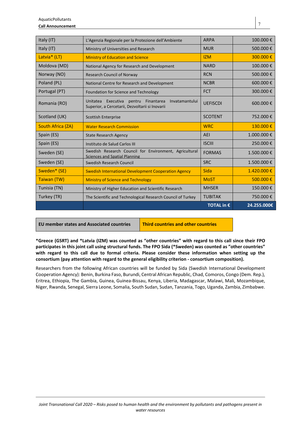| Italy (IT)        | L'Agenzia Regionale per la Protezione dell'Ambiente                                                             | <b>ARPA</b>     | 100.000€   |
|-------------------|-----------------------------------------------------------------------------------------------------------------|-----------------|------------|
| Italy (IT)        | Ministry of Universities and Research                                                                           | <b>MUR</b>      | 500.000€   |
| Latvia* (LT)      | <b>Ministry of Education and Science</b>                                                                        | <b>IZM</b>      | 300.000€   |
| Moldova (MD)      | National Agency for Research and Development                                                                    | <b>NARD</b>     | 100.000€   |
| Norway (NO)       | <b>Research Council of Norway</b>                                                                               | <b>RCN</b>      | 500.000€   |
| Poland (PL)       | National Centre for Research and Development                                                                    | <b>NCBR</b>     | 600.000€   |
| Portugal (PT)     | Foundation for Science and Technology                                                                           | <b>FCT</b>      | 300.000€   |
| Romania (RO)      | Unitatea Executiva<br>Finantarea<br>Invatamantului<br>pentru<br>Superior, a Cercetarii, Dezvoltarii si Inovarii | <b>UEFISCDI</b> | 600.000€   |
| Scotland (UK)     | <b>Scottish Enterprise</b>                                                                                      | <b>SCOTENT</b>  | 752.000€   |
| South Africa (ZA) | <b>Water Research Commission</b>                                                                                | <b>WRC</b>      | 130.000€   |
| Spain (ES)        | <b>State Research Agency</b>                                                                                    | AEI             | 1.000.000€ |
| Spain (ES)        | Instituto de Salud Carlos III                                                                                   | <b>ISCIII</b>   | 250.000€   |
| Sweden (SE)       | Swedish Research Council for Environment, Agricultural<br><b>Sciences and Spatial Planning</b>                  | <b>FORMAS</b>   | 1.500.000€ |
| Sweden (SE)       | Swedish Research Council                                                                                        | <b>SRC</b>      | 1.500.000€ |
| Sweden* (SE)      | <b>Swedish International Development Cooperation Agency</b>                                                     | Sida            | 1.420.000€ |
|                   |                                                                                                                 |                 |            |
| Taiwan (TW)       | <b>Ministry of Science and Technology</b>                                                                       | <b>MoST</b>     | 500.000€   |
| Tunisia (TN)      | Ministry of Higher Education and Scientific Research                                                            | <b>MHSER</b>    | 150.000€   |
| Turkey (TR)       | The Scientific and Technological Research Council of Turkey                                                     | <b>TUBITAK</b>  | 750.000€   |

**EU member states and Associated countries Third countries and other countries** 

**\*Greece (GSRT) and \*Latvia (IZM) was counted as "other countries" with regard to this call since their FPO participates in this joint call using structural funds. The FPO Sida (\*Sweden) was counted as "other countries" with regard to this call due to formal criteria. Please consider these information when setting up the consortium (pay attention with regard to the general eligibility criterion ‐ consortium composition).** 

Researchers from the following African countries will be funded by Sida (Swedish International Development Cooperation Agency): Benin, Burkina Faso, Burundi, Central African Republic, Chad, Comoros, Congo (Dem. Rep.), Eritrea, Ethiopia, The Gambia, Guinea, Guinea-Bissau, Kenya, Liberia, Madagascar, Malawi, Mali, Mozambique, Niger, Rwanda, Senegal, Sierra Leone, Somalia, South Sudan, Sudan, Tanzania, Togo, Uganda, Zambia, Zimbabwe.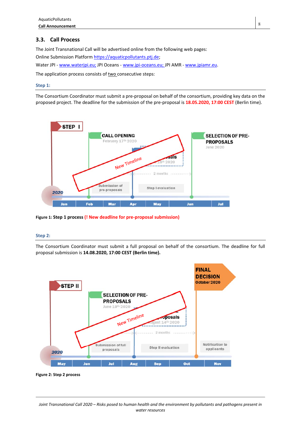# **3.3. Call Process**

The Joint Transnational Call will be advertised online from the following web pages: Online Submission Platform https://aquaticpollutants.ptj.de; Water JPI - www.waterjpi.eu; JPI Oceans - www.jpi-oceans.eu; JPI AMR - www.jpiamr.eu. The application process consists of two consecutive steps:

### **Step 1:**

The Consortium Coordinator must submit a pre-proposal on behalf of the consortium, providing key data on the proposed project. The deadline for the submission of the pre-proposal is **18.05.2020, 17:00 CEST** (Berlin time).



**Figure 1: Step 1 process (! New deadline for pre‐proposal submission)**

### **Step 2:**

The Consortium Coordinator must submit a full proposal on behalf of the consortium. The deadline for full proposal submission is **14.08.2020, 17:00 CEST (Berlin time).**



**Figure 2: Step 2 process**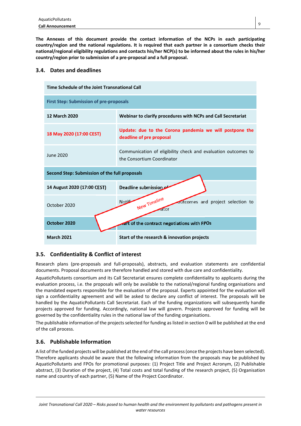**The Annexes of this document provide the contact information of the NCPs in each participating country/region and the national regulations. It is required that each partner in a consortium checks their national/regional eligibility regulations and contacts his/her NCP(s) to be informed about the rules in his/her country/region prior to submission of a pre‐proposal and a full proposal.** 

# **3.4. Dates and deadlines**

| Time Schedule of the Joint Transnational Call  |                                                                                             |  |  |
|------------------------------------------------|---------------------------------------------------------------------------------------------|--|--|
| <b>First Step: Submission of pre-proposals</b> |                                                                                             |  |  |
| <b>12 March 2020</b>                           | Webinar to clarify procedures with NCPs and Call Secretariat                                |  |  |
| 18 May 2020 (17:00 CEST)                       | Update: due to the Corona pandemia we will postpone the<br>deadline of pre proposal         |  |  |
| June 2020                                      | Communication of eligibility check and evaluation outcomes to<br>the Consortium Coordinator |  |  |
| Second Step: Submission of the full proposals  |                                                                                             |  |  |
| 14 August 2020 (17:00 CEST)                    | Deadline submission                                                                         |  |  |
| October 2020                                   | New Timeline<br>Notifi<br>outcomes and project selection to<br>ator                         |  |  |
| October 2020                                   | art of the contract negotiations with FPOs                                                  |  |  |
| <b>March 2021</b>                              | Start of the research & innovation projects                                                 |  |  |

# **3.5. Confidentiality & Conflict of interest**

Research plans (pre-proposals and full-proposals), abstracts, and evaluation statements are confidential documents. Proposal documents are therefore handled and stored with due care and confidentiality.

AquaticPollutants consortium and its Call Secretariat ensures complete confidentiality to applicants during the evaluation process, i.e. the proposals will only be available to the national/regional funding organisations and the mandated experts responsible for the evaluation of the proposal. Experts appointed for the evaluation will sign a confidentiality agreement and will be asked to declare any conflict of interest. The proposals will be handled by the AquaticPollutants Call Secretariat. Each of the funding organizations will subsequently handle projects approved for funding. Accordingly, national law will govern. Projects approved for funding will be governed by the confidentiality rules in the national law of the funding organisations.

The publishable information of the projects selected for funding as listed in section 0 will be published at the end of the call process.

# **3.6. Publishable Information**

A list of the funded projects will be published at the end of the call process (once the projects have been selected). Therefore applicants should be aware that the following information from the proposals may be published by AquaticPollutants and FPOs for promotional purposes: (1) Project Title and Project Acronym, (2) Publishable abstract, (3) Duration of the project, (4) Total costs and total funding of the research project, (5) Organisation name and country of each partner, (5) Name of the Project Coordinator.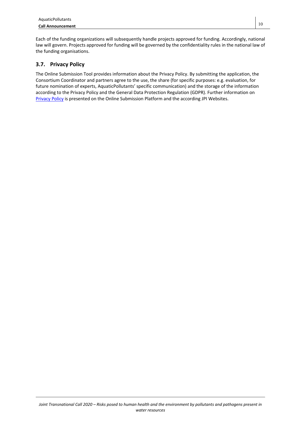Each of the funding organizations will subsequently handle projects approved for funding. Accordingly, national law will govern. Projects approved for funding will be governed by the confidentiality rules in the national law of the funding organisations.

# **3.7. Privacy Policy**

The Online Submission Tool provides information about the Privacy Policy. By submitting the application, the Consortium Coordinator and partners agree to the use, the share (for specific purposes: e.g. evaluation, for future nomination of experts, AquaticPollutants' specific communication) and the storage of the information according to the Privacy Policy and the General Data Protection Regulation (GDPR). Further information on Privacy Policy is presented on the Online Submission Platform and the according JPI Websites.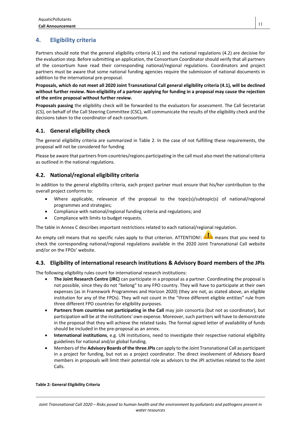# **4. Eligibility criteria**

Partners should note that the general eligibility criteria (4.1) and the national regulations (4.2) are decisive for the evaluation step. Before submitting an application, the Consortium Coordinator should verify that all partners of the consortium have read their corresponding national/regional regulations. Coordinators and project partners must be aware that some national funding agencies require the submission of national documents in addition to the international pre-proposal.

**Proposals, which do not meet all 2020 Joint Transnational Call general eligibility criteria (4.1), will be declined without further review. Non‐eligibility of a partner applying for funding in a proposal may cause the rejection of the entire proposal without further review.** 

**Proposals passing** the eligibility check will be forwarded to the evaluators for assessment. The Call Secretariat (CS), on behalf of the Call Steering Committee (CSC), will communicate the results of the eligibility check and the decisions taken to the coordinator of each consortium.

# **4.1. General eligibility check**

The general eligibility criteria are summarized in Table 2. In the case of not fulfilling these requirements, the proposal will not be considered for funding

Please be aware that partners from countries/regions participating in the call must also meet the national criteria as outlined in the national regulations.

# **4.2. National/regional eligibility criteria**

In addition to the general eligibility criteria, each project partner must ensure that his/her contribution to the overall project conforms to:

- Where applicable, relevance of the proposal to the topic(s)/subtopic(s) of national/regional programmes and strategies;
- Compliance with national/regional funding criteria and regulations; and
- Compliance with limits to budget requests.

The table in Annex C describes important restrictions related to each national/regional regulation.

An empty cell means that no specific rules apply to that criterion. ATTENTION!: **All** means that you need to check the corresponding national/regional regulations available in the 2020 Joint Transnational Call website and/or on the FPOs' website.

# **4.3. Eligibility of international research institutions & Advisory Board members of the JPIs**

The following eligibility rules count for international research institutions:

- **The Joint Research Centre (JRC)** can participate in a proposal as a partner. Coordinating the proposal is not possible, since they do not "belong" to any FPO country. They will have to participate at their own expenses (as in Framework Programmes and Horizon 2020) (they are not, as stated above, an eligible institution for any of the FPOs). They will not count in the "three different eligible entities" rule from three different FPO countries for eligibility purposes.
- Partners from countries not participating in the Call may join consortia (but not as coordinator), but participation will be at the institutions' own expense. Moreover, such partners will have to demonstrate in the proposal that they will achieve the related tasks. The formal signed letter of availability of funds should be included in the pre-proposal as an annex.
- **International institutions**, e.g. UN institutions, need to investigate their respective national eligibility guidelines for national and/or global funding.
- Members of the **Advisory Boards of the three JPIs** can apply to the Joint Transnational Call as participant in a project for funding, but not as a project coordinator. The direct involvement of Advisory Board members in proposals will limit their potential role as advisors to the JPI activities related to the Joint Calls.

### **Table 2: General Eligibility Criteria**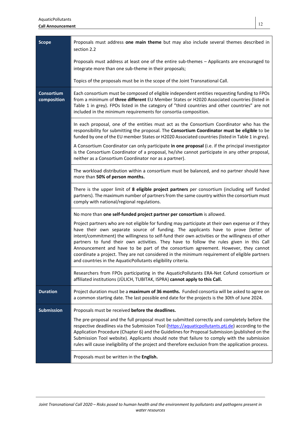section 2.2

|                                  | Proposals must address at least one of the entire sub-themes - Applicants are encouraged to<br>integrate more than one sub-theme in their proposals;                                                                                                                                                                                                                                                                                                                                                                                                                                                                                          |
|----------------------------------|-----------------------------------------------------------------------------------------------------------------------------------------------------------------------------------------------------------------------------------------------------------------------------------------------------------------------------------------------------------------------------------------------------------------------------------------------------------------------------------------------------------------------------------------------------------------------------------------------------------------------------------------------|
|                                  | Topics of the proposals must be in the scope of the Joint Transnational Call.                                                                                                                                                                                                                                                                                                                                                                                                                                                                                                                                                                 |
| <b>Consortium</b><br>composition | Each consortium must be composed of eligible independent entities requesting funding to FPOs<br>from a minimum of three different EU Member States or H2020 Associated countries (listed in<br>Table 1 in grey). FPOs listed in the category of "third countries and other countries" are not<br>included in the minimum requirements for consortia composition.                                                                                                                                                                                                                                                                              |
|                                  | In each proposal, one of the entities must act as the Consortium Coordinator who has the<br>responsibility for submitting the proposal. The Consortium Coordinator must be eligible to be<br>funded by one of the EU member States or H2020 Associated countries (listed in Table 1 in grey).                                                                                                                                                                                                                                                                                                                                                 |
|                                  | A Consortium Coordinator can only participate in one proposal (i.e. if the principal investigator<br>is the Consortium Coordinator of a proposal, he/she cannot participate in any other proposal,<br>neither as a Consortium Coordinator nor as a partner).                                                                                                                                                                                                                                                                                                                                                                                  |
|                                  | The workload distribution within a consortium must be balanced, and no partner should have<br>more than 50% of person months.                                                                                                                                                                                                                                                                                                                                                                                                                                                                                                                 |
|                                  | There is the upper limit of 8 eligible project partners per consortium (including self funded<br>partners). The maximum number of partners from the same country within the consortium must<br>comply with national/regional regulations.                                                                                                                                                                                                                                                                                                                                                                                                     |
|                                  | No more than one self-funded project partner per consortium is allowed.                                                                                                                                                                                                                                                                                                                                                                                                                                                                                                                                                                       |
|                                  | Project partners who are not eligible for funding may participate at their own expense or if they<br>have their own separate source of funding. The applicants have to prove (letter of<br>intent/commitment) the willingness to self-fund their own activities or the willingness of other<br>partners to fund their own activities. They have to follow the rules given in this Call<br>Announcement and have to be part of the consortium agreement. However, they cannot<br>coordinate a project. They are not considered in the minimum requirement of eligible partners<br>and countries in the AquaticPollutants eligibility criteria. |
|                                  | Researchers from FPOs participating in the AquaticPollutants ERA-Net Cofund consortium or<br>affiliated institutions (JÜLICH, TUBITAK, ISPRA) cannot apply to this Call.                                                                                                                                                                                                                                                                                                                                                                                                                                                                      |
| <b>Duration</b>                  | Project duration must be a maximum of 36 months. Funded consortia will be asked to agree on<br>a common starting date. The last possible end date for the projects is the 30th of June 2024.                                                                                                                                                                                                                                                                                                                                                                                                                                                  |
| <b>Submission</b>                | Proposals must be received before the deadlines.                                                                                                                                                                                                                                                                                                                                                                                                                                                                                                                                                                                              |
|                                  | The pre-proposal and the full proposal must be submitted correctly and completely before the<br>respective deadlines via the Submission Tool (https://aquaticpollutants.ptj.de) according to the<br>Application Procedure (Chapter 6) and the Guidelines for Proposal Submission (published on the<br>Submission Tool website). Applicants should note that failure to comply with the submission<br>rules will cause ineligibility of the project and therefore exclusion from the application process.                                                                                                                                      |
|                                  | Proposals must be written in the English.                                                                                                                                                                                                                                                                                                                                                                                                                                                                                                                                                                                                     |
|                                  |                                                                                                                                                                                                                                                                                                                                                                                                                                                                                                                                                                                                                                               |

**Scope Proposals must address one main theme** but may also include several themes described in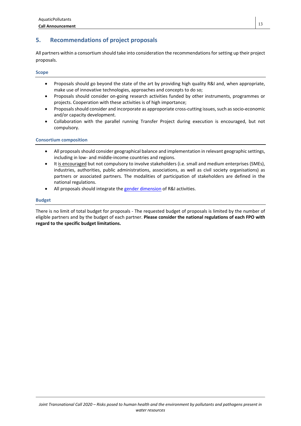# **5. Recommendations of project proposals**

All partners within a consortium should take into consideration the recommendations for setting up their project proposals.

### **Scope**

- Proposals should go beyond the state of the art by providing high quality R&I and, when appropriate, make use of innovative technologies, approaches and concepts to do so;
- Proposals should consider on-going research activities funded by other instruments, programmes or projects. Cooperation with these activities is of high importance;
- Proposals should consider and incorporate as approporiate cross-cutting issues, such as socio-economic and/or capacity development.
- Collaboration with the parallel running Transfer Project during execution is encouraged, but not compulsory.

### **Consortium composition**

- All proposals should consider geographical balance and implementation in relevant geographic settings, including in low- and middle-income countries and regions.
- It is encouraged but not compulsory to involve stakeholders (i.e. small and medium enterprises (SMEs), industries, authorities, public administrations, associations, as well as civil society organisations) as partners or associated partners. The modalities of participation of stakeholders are defined in the national regulations.
- All proposals should integrate the gender dimension of R&I activities.

### **Budget**

There is no limit of total budget for proposals - The requested budget of proposals is limited by the number of eligible partners and by the budget of each partner. **Please consider the national regulations of each FPO with regard to the specific budget limitations.**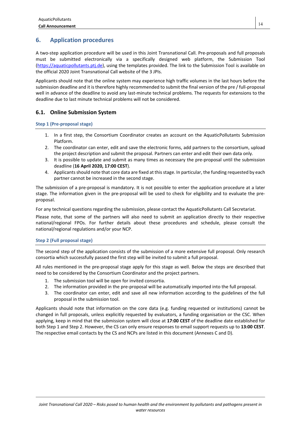# **6. Application procedures**

A two-step application procedure will be used in this Joint Transnational Call. Pre-proposals and full proposals must be submitted electronically via a specifically designed web platform, the Submission Tool (https://aquaticpollutants.ptj.de), using the templates provided. The link to the Submission Tool is available on the official 2020 Joint Transnational Call website of the 3 JPIs.

Applicants should note that the online system may experience high traffic volumes in the last hours before the submission deadline and it is therefore highly recommended to submit the final version of the pre / full-proposal well in advance of the deadline to avoid any last-minute technical problems. The requests for extensions to the deadline due to last minute technical problems will not be considered.

# **6.1. Online Submission System**

### **Step 1 (Pre‐proposal stage)**

- 1. In a first step, the Consortium Coordinator creates an account on the AquaticPollutants Submission Platform.
- 2. The coordinator can enter, edit and save the electronic forms, add partners to the consortium, upload the project description and submit the proposal. Partners can enter and edit their own data only.
- 3. It is possible to update and submit as many times as necessary the pre-proposal until the submission deadline (**16 April 2020, 17:00 CEST**).
- 4. Applicants should note that core data are fixed at this stage. In particular, the funding requested by each partner cannot be increased in the second stage.

The submission of a pre-proposal is mandatory. It is not possible to enter the application procedure at a later stage. The information given in the pre-proposal will be used to check for eligibility and to evaluate the preproposal.

For any technical questions regarding the submission, please contact the AquaticPollutants Call Secretariat.

Please note, that some of the partners will also need to submit an application directly to their respective national/regional FPOs. For further details about these procedures and schedule, please consult the national/regional regulations and/or your NCP.

### **Step 2 (Full proposal stage)**

The second step of the application consists of the submission of a more extensive full proposal. Only research consortia which successfully passed the first step will be invited to submit a full proposal.

All rules mentioned in the pre-proposal stage apply for this stage as well. Below the steps are described that need to be considered by the Consortium Coordinator and the project partners.

- 1. The submission tool will be open for invited consortia.
- 2. The information provided in the pre-proposal will be automatically imported into the full proposal.
- 3. The coordinator can enter, edit and save all new information according to the guidelines of the full proposal in the submission tool.

Applicants should note that information on the core data (e.g. funding requested or institutions) cannot be changed in full proposals, unless explicitly requested by evaluators, a funding organisation or the CSC. When applying, keep in mind that the submission system will close at **17:00 CEST** of the deadline date established for both Step 1 and Step 2. However, the CS can only ensure responses to email support requests up to **13:00 CEST**. The respective email contacts by the CS and NCPs are listed in this document (Annexes C and D).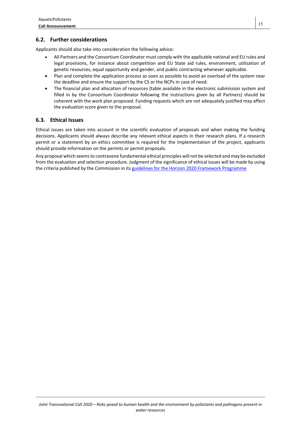# **6.2. Further considerations**

Applicants should also take into consideration the following advice:

- All Partners and the Consortium Coordinator must comply with the applicable national and EU rules and legal provisions, for instance about competition and EU State aid rules, environment, utilisation of genetic resources, equal opportunity and gender, and public contracting whenever applicable.
- Plan and complete the application process as soon as possible to avoid an overload of the system near the deadline and ensure the support by the CS or the NCPs in case of need.
- The financial plan and allocation of resources (table available in the electronic submission system and filled in by the Consortium Coordinator following the instructions given by all Partners) should be coherent with the work plan proposed. Funding requests which are not adequately justified may affect the evaluation score given to the proposal.

# **6.3. Ethical Issues**

Ethical issues are taken into account in the scientific evaluation of proposals and when making the funding decisions. Applicants should always describe any relevant ethical aspects in their research plans. If a research permit or a statement by an ethics committee is required for the implementation of the project, applicants should provide information on the permits or permit proposals.

Any proposal which seems to contravene fundamental ethical principles will not be selected and may be excluded from the evaluation and selection procedure. Judgment of the significance of ethical issues will be made by using the criteria published by the Commission in its guidelines for the Horizon 2020 Framework Programme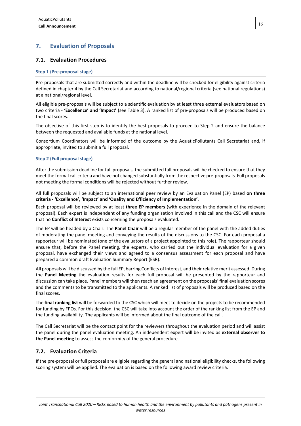# **7. Evaluation of Proposals**

### **7.1. Evaluation Procedures**

### **Step 1 (Pre‐proposal stage)**

Pre-proposals that are submitted correctly and within the deadline will be checked for eligibility against criteria defined in chapter 4 by the Call Secretariat and according to national/regional criteria (see national regulations) at a national/regional level.

All eligible pre-proposals will be subject to a scientific evaluation by at least three external evaluators based on two criteria - **'Excellence' and 'Impact'** (see Table 3). A ranked list of pre-proposals will be produced based on the final scores.

The objective of this first step is to identify the best proposals to proceed to Step 2 and ensure the balance between the requested and available funds at the national level.

Consortium Coordinators will be informed of the outcome by the AquaticPollutants Call Secretariat and, if appropriate, invited to submit a full proposal.

### **Step 2 (Full proposal stage)**

After the submission deadline for full proposals, the submitted full proposals will be checked to ensure that they meet the formal call criteria and have not changed substantially from the respective pre-proposals. Full proposals not meeting the formal conditions will be rejected without further review.

All full proposals will be subject to an international peer review by an Evaluation Panel (EP) based **on three criteria ‐ 'Excellence', 'Impact' and 'Quality and Efficiency of Implementation'**.

Each proposal will be reviewed by at least **three EP members** (with experience in the domain of the relevant proposal). Each expert is independent of any funding organisation involved in this call and the CSC will ensure that no **Conflict of Interest** exists concerning the proposals evaluated.

The EP will be headed by a Chair. The **Panel Chair** will be a regular member of the panel with the added duties of moderating the panel meeting and conveying the results of the discussions to the CSC. For each proposal a rapporteur will be nominated (one of the evaluators of a project appointed to this role). The rapporteur should ensure that, before the Panel meeting, the experts, who carried out the individual evaluation for a given proposal, have exchanged their views and agreed to a consensus assessment for each proposal and have prepared a common draft Evaluation Summary Report (ESR).

All proposals will be discussed by the full EP, barring Conflicts of Interest, and their relative merit assessed. During the **Panel Meeting** the evaluation results for each full proposal will be presented by the rapporteur and discussion can take place. Panel members will then reach an agreement on the proposals' final evaluation scores and the comments to be transmitted to the applicants. A ranked list of proposals will be produced based on the final scores.

The **final ranking list** will be forwarded to the CSC which will meet to decide on the projects to be recommended for funding by FPOs. For this decision, the CSC will take into account the order of the ranking list from the EP and the funding availability. The applicants will be informed about the final outcome of the call.

The Call Secretariat will be the contact point for the reviewers throughout the evaluation period and will assist the panel during the panel evaluation meeting. An independent expert will be invited as **external observer to the Panel meeting** to assess the conformity of the general procedure.

# **7.2. Evaluation Criteria**

If the pre-proposal or full proposal are eligible regarding the general and national eligibility checks, the following scoring system will be applied. The evaluation is based on the following award review criteria: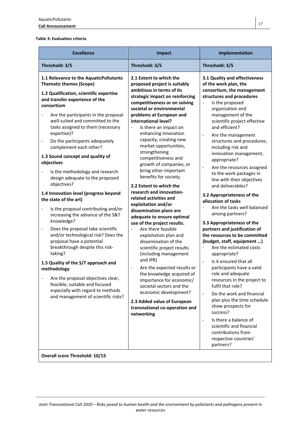#### **Table 3: Evaluation criteria**

| <b>Excellence</b>                                                                                                                                                                                                                                                                                                                                                                                                                                                                                                                                                                                                                                                                                                                                                                                                                   | Impact                                                                                                                                                                                                                                                                                                                                                                                                                                                                                                                                                                                                                                                                                                                                                                                                                               | Implementation                                                                                                                                                                                                                                                                                                                                                                                                                                                                                                                                                                                                                                                                                                                                                                                                      |
|-------------------------------------------------------------------------------------------------------------------------------------------------------------------------------------------------------------------------------------------------------------------------------------------------------------------------------------------------------------------------------------------------------------------------------------------------------------------------------------------------------------------------------------------------------------------------------------------------------------------------------------------------------------------------------------------------------------------------------------------------------------------------------------------------------------------------------------|--------------------------------------------------------------------------------------------------------------------------------------------------------------------------------------------------------------------------------------------------------------------------------------------------------------------------------------------------------------------------------------------------------------------------------------------------------------------------------------------------------------------------------------------------------------------------------------------------------------------------------------------------------------------------------------------------------------------------------------------------------------------------------------------------------------------------------------|---------------------------------------------------------------------------------------------------------------------------------------------------------------------------------------------------------------------------------------------------------------------------------------------------------------------------------------------------------------------------------------------------------------------------------------------------------------------------------------------------------------------------------------------------------------------------------------------------------------------------------------------------------------------------------------------------------------------------------------------------------------------------------------------------------------------|
| Threshold: 3/5                                                                                                                                                                                                                                                                                                                                                                                                                                                                                                                                                                                                                                                                                                                                                                                                                      | Threshold: 3/5                                                                                                                                                                                                                                                                                                                                                                                                                                                                                                                                                                                                                                                                                                                                                                                                                       | Threshold: 3/5                                                                                                                                                                                                                                                                                                                                                                                                                                                                                                                                                                                                                                                                                                                                                                                                      |
| 1.1 Relevance to the AquaticPollutants<br><b>Thematic themes (Scope)</b><br>1.2 Qualification, scientific expertise<br>and transfer experience of the<br>consortium<br>Are the participants in the proposal<br>well-suited and committed to the<br>tasks assigned to them (necessary<br>expertise)?<br>Do the participants adequately<br>-<br>complement each other?<br>1.3 Sound concept and quality of<br>objectives<br>Is the methodology and research<br>design adequate to the proposed<br>objectives?<br>1.4 Innovation level (progress beyond<br>the state of the art)<br>Is the proposal contributing and/or<br>increasing the advance of the S&T<br>knowledge?<br>Does the proposal take scientific<br>-<br>and/or technological risk? Does the<br>proposal have a potential<br>breakthrough despite this risk-<br>taking? | 2.1 Extent to which the<br>proposed project is suitably<br>ambitious in terms of its<br>strategic impact on reinforcing<br>competitiveness or on solving<br>societal or environmental<br>problems at European and<br>international level?<br>Is there an impact on<br>$\overline{a}$<br>enhancing innovation<br>capacity, creating new<br>market opportunities,<br>strengthening<br>competitiveness and<br>growth of companies, or<br>bring other important<br>benefits for society;<br>2.2 Extent to which the<br>research and innovation-<br>related activities and<br>exploitation and/or<br>dissemination plans are<br>adequate to ensure optimal<br>use of the project results.<br>Are there feasible<br>$\blacksquare$<br>exploitation plan and<br>dissemination of the<br>scientific project results<br>(including management | 3.1 Quality and effectiveness<br>of the work plan, the<br>consortium, the management<br>structures and procedures<br>Is the proposed<br>organization and<br>management of the<br>scientific project effective<br>and efficient?<br>Are the management<br>$\blacksquare$<br>structures and procedures,<br>including risk and<br>innovation management,<br>appropriate?<br>Are the resources assigned<br>$\qquad \qquad \blacksquare$<br>to the work packages in<br>line with their objectives<br>and deliverables?<br>3.2 Appropriateness of the<br>allocation of tasks<br>Are the tasks well balanced<br>among partners?<br>3.3 Appropriateness of the<br>partners and justification of<br>the resources to be committed<br>(budget, staff, equipment )<br>Are the estimated costs<br>$\frac{1}{2}$<br>appropriate? |
| 1.5 Quality of the S/T approach and<br>methodology<br>Are the proposal objectives clear,<br>feasible, suitable and focused<br>especially with regard to methods<br>and management of scientific risks?<br><b>Overall score Threshold: 10/15</b>                                                                                                                                                                                                                                                                                                                                                                                                                                                                                                                                                                                     | and IPR)<br>Are the expected results or<br>the knowledge acquired of<br>importance for economic/<br>societal sectors and the<br>economic development?<br>2.3 Added value of European<br>transnational co-operation and<br>networking                                                                                                                                                                                                                                                                                                                                                                                                                                                                                                                                                                                                 | Is it ensured that all<br>participants have a valid<br>role and adequate<br>resources in the project to<br>fulfil that role?<br>Do the work and financial<br>$\Box$<br>plan plus the time schedule<br>show prospects for<br>success?<br>Is there a balance of<br>$\overline{\phantom{a}}$<br>scientific and financial<br>contributions from<br>respective countries'<br>partners?                                                                                                                                                                                                                                                                                                                                                                                                                                   |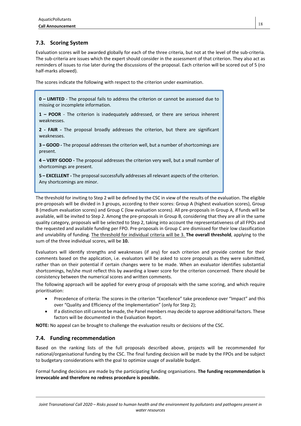# **7.3. Scoring System**

Evaluation scores will be awarded globally for each of the three criteria, but not at the level of the sub-criteria. The sub-criteria are issues which the expert should consider in the assessment of that criterion. They also act as reminders of issues to rise later during the discussions of the proposal. Each criterion will be scored out of 5 (no half-marks allowed).

The scores indicate the following with respect to the criterion under examination.

**0 – LIMITED** - The proposal fails to address the criterion or cannot be assessed due to missing or incomplete information.

**1 – POOR** - The criterion is inadequately addressed, or there are serious inherent weaknesses.

**2 ‐ FAIR ‐** The proposal broadly addresses the criterion, but there are significant weaknesses.

**3 – GOOD ‐** The proposal addresses the criterion well, but a number of shortcomings are present.

**4 – VERY GOOD ‐** The proposal addresses the criterion very well, but a small number of shortcomings are present.

**5 – EXCELLENT ‐** The proposal successfully addresses all relevant aspects of the criterion. Any shortcomings are minor.

The threshold for inviting to Step 2 will be defined by the CSC in view of the results of the evaluation. The eligible pre-proposals will be divided in 3 groups, according to their scores: Group A (highest evaluation scores), Group B (medium evaluation scores) and Group C (low evaluation scores). All pre-proposals in Group A, if funds will be available, will be invited to Step 2. Among the pre-proposals in Group B, considering that they are all in the same quality category, proposals will be selected to Step 2, taking into account the representativeness of all FPOs and the requested and available funding per FPO. Pre-proposals in Group C are dismissed for their low classification and unviability of funding. The threshold for individual criteria will be 3. **The overall threshold**, applying to the sum of the three individual scores, will be **10.**

Evaluators will identify strengths and weaknesses (if any) for each criterion and provide context for their comments based on the application, i.e. evaluators will be asked to score proposals as they were submitted, rather than on their potential if certain changes were to be made. When an evaluator identifies substantial shortcomings, he/she must reflect this by awarding a lower score for the criterion concerned. There should be consistency between the numerical scores and written comments.

The following approach will be applied for every group of proposals with the same scoring, and which require prioritisation:

- Precedence of criteria: The scores in the criterion "Excellence" take precedence over "Impact" and this over "Quality and Efficiency of the Implementation" (only for Step 2);
- If a distinction still cannot be made, the Panel members may decide to approve additional factors. These factors will be documented in the Evaluation Report.

**NOTE:** No appeal can be brought to challenge the evaluation results or decisions of the CSC.

# **7.4. Funding recommendation**

Based on the ranking lists of the full proposals described above, projects will be recommended for national/organisational funding by the CSC. The final funding decision will be made by the FPOs and be subject to budgetary considerations with the goal to optimize usage of available budget.

Formal funding decisions are made by the participating funding organisations. **The funding recommendation is irrevocable and therefore no redress procedure is possible.**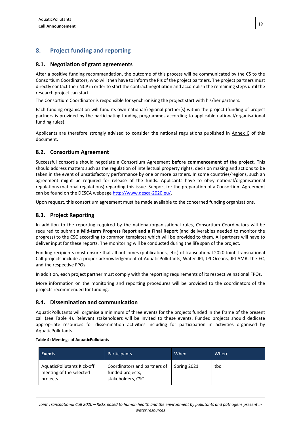# **8. Project funding and reporting**

# **8.1. Negotiation of grant agreements**

After a positive funding recommendation, the outcome of this process will be communicated by the CS to the Consortium Coordinators, who will then have to inform the PIs of the project partners. The project partners must directly contact their NCP in order to start the contract negotiation and accomplish the remaining steps until the research project can start.

The Consortium Coordinator is responsible for synchronising the project start with his/her partners.

Each funding organisation will fund its own national/regional partner(s) within the project (funding of project partners is provided by the participating funding programmes according to applicable national/organisational funding rules).

Applicants are therefore strongly advised to consider the national regulations published in Annex C of this document.

# **8.2. Consortium Agreement**

Successful consortia should negotiate a Consortium Agreement **before commencement of the project**. This should address matters such as the regulation of intellectual property rights, decision making and actions to be taken in the event of unsatisfactory performance by one or more partners. In some countries/regions, such an agreement might be required for release of the funds. Applicants have to obey national/organisational regulations (national regulations) regarding this issue. Support for the preparation of a Consortium Agreement can be found on the DESCA webpage http://www.desca-2020.eu/.

Upon request, this consortium agreement must be made available to the concerned funding organisations.

# **8.3. Project Reporting**

In addition to the reporting required by the national/organisational rules, Consortium Coordinators will be required to submit a **Mid‐term Progress Report and a Final Report** (and deliverables needed to monitor the progress) to the CSC according to common templates which will be provided to them. All partners will have to deliver input for these reports. The monitoring will be conducted during the life span of the project.

Funding recipients must ensure that all outcomes (publications, etc.) of transnational 2020 Joint Transnational Call projects include a proper acknowledgement of AquaticPollutants, Water JPI, JPI Oceans, JPI AMR, the EC, and the respective FPOs.

In addition, each project partner must comply with the reporting requirements of its respective national FPOs.

More information on the monitoring and reporting procedures will be provided to the coordinators of the projects recommended for funding.

# **8.4. Dissemination and communication**

AquaticPollutants will organise a minimum of three events for the projects funded in the frame of the present call (see Table 4). Relevant stakeholders will be invited to these events. Funded projects should dedicate appropriate resources for dissemination activities including for participation in activities organised by AquaticPollutants.

### **Table 4: Meetings of AquaticPollutants**

| Events                                                            | Participants                                                          | When        | Where |
|-------------------------------------------------------------------|-----------------------------------------------------------------------|-------------|-------|
| AquaticPollutants Kick-off<br>meeting of the selected<br>projects | Coordinators and partners of<br>funded projects,<br>stakeholders, CSC | Spring 2021 | tbc   |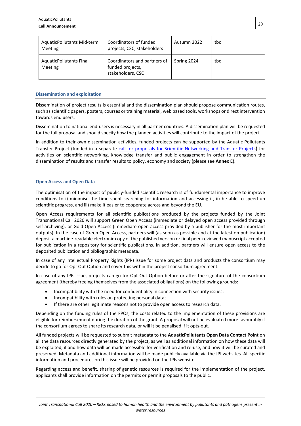| AquaticPollutants Mid-term<br><b>Meeting</b>     | Coordinators of funded<br>projects, CSC, stakeholders                 | Autumn 2022 | tbc |
|--------------------------------------------------|-----------------------------------------------------------------------|-------------|-----|
| <b>AquaticPollutants Final</b><br><b>Meeting</b> | Coordinators and partners of<br>funded projects,<br>stakeholders, CSC | Spring 2024 | tbc |

### **Dissemination and exploitation**

Dissemination of project results is essential and the dissemination plan should propose communication routes, such as scientific papers, posters, courses or training material, web based tools, workshops or direct intervention towards end users.

Dissemination to national end-users is necessary in all partner countries. A dissemination plan will be requested for the full proposal and should specify how the planned activities will contribute to the impact of the project.

In addition to their own dissemination activities, funded projects can be supported by the Aquatic Pollutants Transfer Project (funded in a separate call for proposals for Scientific Networking and Transfer Projects) for activities on scientific networking, knowledge transfer and public engagement in order to strengthen the dissemination of results and transfer results to policy, economy and society (please see **Annex E**).

### **Open Access and Open Data**

The optimisation of the impact of publicly-funded scientific research is of fundamental importance to improve conditions to i) minimise the time spent searching for information and accessing it, ii) be able to speed up scientific progress, and iii) make it easier to cooperate across and beyond the EU.

Open Access requirements for all scientific publications produced by the projects funded by the Joint Transnational Call 2020 will support Green Open Access (immediate or delayed open access provided through self-archiving), or Gold Open Access (immediate open access provided by a publisher for the most important outputs). In the case of Green Open Access, partners will (as soon as possible and at the latest on publication) deposit a machine-readable electronic copy of the published version or final peer-reviewed manuscript accepted for publication in a repository for scientific publications. In addition, partners will ensure open access to the deposited publication and bibliographic metadata.

In case of any Intellectual Property Rights (IPR) issue for some project data and products the consortium may decide to go for Opt Out Option and cover this within the project consortium agreement.

In case of any IPR issue, projects can go for Opt Out Option before or after the signature of the consortium agreement (thereby freeing themselves from the associated obligations) on the following grounds:

- Incompatibility with the need for confidentiality in connection with security issues;
- Incompatibility with rules on protecting personal data;
- If there are other legitimate reasons not to provide open access to research data.

Depending on the funding rules of the FPOs, the costs related to the implementation of these provisions are eligible for reimbursement during the duration of the grant. A proposal will not be evaluated more favourably if the consortium agrees to share its research data, or will it be penalised if it opts-out.

All funded projects will be requested to submit metadata to the **AquaticPollutants Open Data Contact Point** on all the data resources directly generated by the project, as well as additional information on how these data will be exploited, if and how data will be made accessible for verification and re-use, and how it will be curated and preserved. Metadata and additional information will be made publicly available via the JPI websites. All specific information and procedures on this issue will be provided on the JPIs website.

Regarding access and benefit, sharing of genetic resources is required for the implementation of the project, applicants shall provide information on the permits or permit proposals to the public.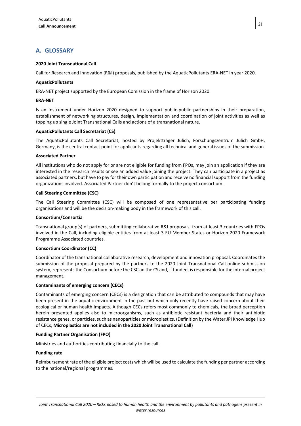# **A. GLOSSARY**

### **2020 Joint Transnational Call**

Call for Research and Innovation (R&I) proposals, published by the AquaticPollutants ERA-NET in year 2020.

### **AquaticPollutants**

ERA-NET project supported by the European Comission in the frame of Horizon 2020

### **ERA‐NET**

Is an instrument under Horizon 2020 designed to support public-public partnerships in their preparation, establishment of networking structures, design, implementation and coordination of joint activities as well as topping up single Joint Transnational Calls and actions of a transnational nature.

### **AquaticPollutants Call Secretariat (CS)**

The AquaticPollutants Call Secretariat, hosted by Projektträger Jülich, Forschungszentrum Jülich GmbH, Germany, is the central contact point for applicants regarding all technical and general issues of the submission.

### **Associated Partner**

All institutions who do not apply for or are not eligible for funding from FPOs, may join an application if they are interested in the research results or see an added value joining the project. They can participate in a project as associated partners, but have to pay for their own participation and receive no financial support from the funding organizations involved. Associated Partner don't belong formally to the project consortium.

### **Call Steering Committee (CSC)**

The Call Steering Committee (CSC) will be composed of one representative per participating funding organisations and will be the decision-making body in the framework of this call.

### **Consortium/Consortia**

Transnational group(s) of partners, submitting collaborative R&I proposals, from at least 3 countries with FPOs involved in the Call, including eligible entities from at least 3 EU Member States or Horizon 2020 Framework Programme Associated countries.

### **Consortium Coordinator (CC)**

Coordinator of the transnational collaborative research, development and innovation proposal. Coordinates the submission of the proposal prepared by the partners to the 2020 Joint Transnational Call online submission system, represents the Consortium before the CSC an the CS and, if funded, is responsible for the internal project management.

### **Contaminants of emerging concern (CECs)**

Contaminants of emerging concern (CECs) is a designation that can be attributed to compounds that may have been present in the aquatic environment in the past but which only recently have raised concern about their ecological or human health impacts. Although CECs refers most commonly to chemicals, the broad perception herein presented applies also to microorganisms, such as antibiotic resistant bacteria and their antibiotic resistance genes, or particles, such as nanoparticles or microplastics. (Definition by the Water JPI Knowledge Hub of CECs, **Microplastics are not included in the 2020 Joint Transnational Call**)

### **Funding Partner Organisation (FPO)**

Ministries and authorities contributing financially to the call.

### **Funding rate**

Reimbursement rate of the eligible project costs which will be used to calculate the funding per partner according to the national/regional programmes.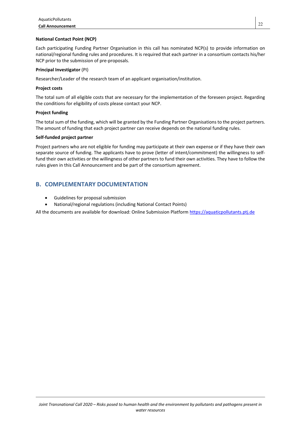### **National Contact Point (NCP)**

Each participating Funding Partner Organisation in this call has nominated NCP(s) to provide information on national/regional funding rules and procedures. It is required that each partner in a consortium contacts his/her NCP prior to the submission of pre-proposals.

### **Principal Investigator** (PI)

Researcher/Leader of the research team of an applicant organisation/institution.

### **Project costs**

The total sum of all eligible costs that are necessary for the implementation of the foreseen project. Regarding the conditions for eligibility of costs please contact your NCP.

### **Project funding**

The total sum of the funding, which will be granted by the Funding Partner Organisations to the project partners. The amount of funding that each project partner can receive depends on the national funding rules.

### **Self‐funded project partner**

Project partners who are not eligible for funding may participate at their own expense or if they have their own separate source of funding. The applicants have to prove (letter of intent/commitment) the willingness to selffund their own activities or the willingness of other partners to fund their own activities. They have to follow the rules given in this Call Announcement and be part of the consortium agreement.

# **B. COMPLEMENTARY DOCUMENTATION**

- Guidelines for proposal submission
- National/regional regulations (including National Contact Points)

All the documents are available for download: Online Submission Platform https://aquaticpollutants.ptj.de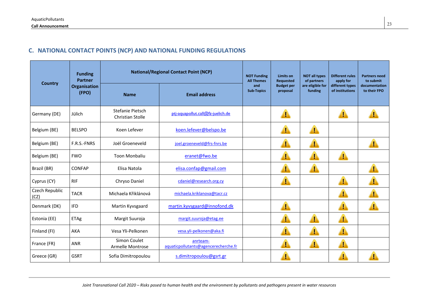# **C. NATIONAL CONTACT POINTS (NCP) AND NATIONAL FUNDING REGULATIONS**

|                        | <b>Funding</b><br><b>Partner</b> | <b>National/Regional Contact Point (NCP)</b> |                                                  | <b>NOT Funding</b><br><b>All Themes</b> | <b>Limits on</b><br>Requested | <b>NOT all types</b><br>of partners | <b>Different rules</b><br>apply for | <b>Partners need</b><br>to submit |
|------------------------|----------------------------------|----------------------------------------------|--------------------------------------------------|-----------------------------------------|-------------------------------|-------------------------------------|-------------------------------------|-----------------------------------|
| <b>Country</b>         | Organisation<br>(FPO)            | <b>Name</b>                                  | <b>Email address</b>                             | and<br><b>Sub-Topics</b>                | <b>Budget per</b><br>proposal | are eligible for<br>funding         | different types<br>of institutions  | documentation<br>to their FPO     |
| Germany (DE)           | Jülich                           | Stefanie Pietsch<br><b>Christian Stolle</b>  | pti-aquapollut.call@fz-juelich.de                |                                         |                               |                                     | 4                                   |                                   |
| Belgium (BE)           | <b>BELSPO</b>                    | Koen Lefever                                 | koen.lefever@belspo.be                           |                                         |                               |                                     |                                     |                                   |
| Belgium (BE)           | F.R.S.-FNRS                      | Joël Groeneveld                              | joel.groeneveld@frs-fnrs.be                      |                                         |                               | ŗ                                   |                                     |                                   |
| Belgium (BE)           | <b>FWO</b>                       | <b>Toon Monbaliu</b>                         | eranet@fwo.be                                    |                                         | ı                             | I                                   |                                     |                                   |
| Brazil (BR)            | <b>CONFAP</b>                    | Elisa Natola                                 | elisa.confap@gmail.com                           |                                         | ı                             | T                                   |                                     |                                   |
| Cyprus (CY)            | <b>RIF</b>                       | Chryso Daniel                                | cdaniel@research.org.cy                          |                                         |                               |                                     |                                     |                                   |
| Czech Republic<br>(CZ) | <b>TACR</b>                      | Michaela Křiklánová                          | michaela.kriklanova@tacr.cz                      |                                         |                               |                                     |                                     |                                   |
| Denmark (DK)           | <b>IFD</b>                       | Martin Kyvsgaard                             | martin.kyvsgaard@innofond.dk                     |                                         | Т                             |                                     | Ţ                                   |                                   |
| Estonia (EE)           | ETAg                             | Margit Suuroja                               | margit.suuroja@etag.ee                           |                                         |                               | Ţ                                   |                                     |                                   |
| Finland (FI)           | AKA                              | Vesa Yli-Pelkonen                            | vesa.yli-pelkonen@aka.fi                         |                                         |                               |                                     |                                     |                                   |
| France (FR)            | <b>ANR</b>                       | Simon Coulet<br>Armelle Montrose             | anrteam-<br>aquaticpollutants@agencerecherche.fr |                                         |                               | т                                   |                                     |                                   |
| Greece (GR)            | <b>GSRT</b>                      | Sofia Dimitropoulou                          | s.dimitropoulou@gsrt.gr                          |                                         |                               |                                     |                                     |                                   |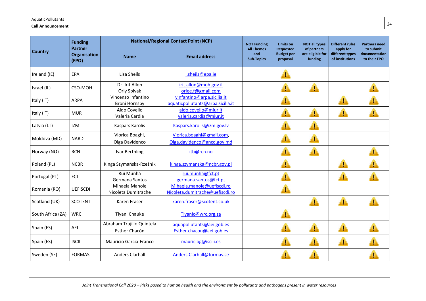### **Call Announcement** <sup>24</sup>

|                   | <b>Funding</b>                                 | <b>National/Regional Contact Point (NCP)</b> |                                                                 | <b>NOT Funding</b>                            | <b>Limits on</b>                                  | <b>NOT all types</b>                       | <b>Different rules</b>                          | <b>Partners need</b>                       |
|-------------------|------------------------------------------------|----------------------------------------------|-----------------------------------------------------------------|-----------------------------------------------|---------------------------------------------------|--------------------------------------------|-------------------------------------------------|--------------------------------------------|
| <b>Country</b>    | <b>Partner</b><br><b>Organisation</b><br>(FPO) | <b>Name</b>                                  | <b>Email address</b>                                            | <b>All Themes</b><br>and<br><b>Sub-Topics</b> | <b>Requested</b><br><b>Budget per</b><br>proposal | of partners<br>are eligible for<br>funding | apply for<br>different types<br>of institutions | to submit<br>documentation<br>to their FPO |
| Ireland (IE)      | EPA                                            | Lisa Sheils                                  | l.sheils@epa.ie                                                 |                                               |                                                   |                                            |                                                 |                                            |
| Israel (IL)       | CSO-MOH                                        | Dr. Irit Allon<br>Orly Spivak                | irit.allon@moh.gov.il<br>orlee.f@gmail.com                      |                                               |                                                   | Г                                          |                                                 |                                            |
| Italy (IT)        | <b>ARPA</b>                                    | Vincenzo Infantino<br><b>Broni Hornsby</b>   | vinfantino@arpa.sicilia.it<br>aquaticpollutants@arpa.sicilia.it |                                               |                                                   |                                            |                                                 |                                            |
| Italy (IT)        | <b>MUR</b>                                     | Aldo Covello<br>Valeria Cardia               | aldo.covello@miur.it<br>valeria.cardia@miur.it                  |                                               | r                                                 | ŗ                                          | D                                               |                                            |
| Latvia (LT)       | <b>IZM</b>                                     | <b>Kaspars Karolis</b>                       | Kaspars.karolis@izm.gov.lv                                      |                                               | ŗ                                                 | ŗ                                          |                                                 |                                            |
| Moldova (MD)      | <b>NARD</b>                                    | Viorica Boaghi,<br>Olga Davidenco            | Viorica.boaghi@gmail.com,<br>Olga.davidenco@ancd.gov.md         |                                               | Г                                                 | Т                                          |                                                 |                                            |
| Norway (NO)       | <b>RCN</b>                                     | Ivar Berthling                               | itb@rcn.no                                                      |                                               | Ţ                                                 | Г                                          |                                                 |                                            |
| Poland (PL)       | <b>NCBR</b>                                    | Kinga Szymańska-Rzeźnik                      | kinga.szymanska@ncbr.gov.pl                                     |                                               |                                                   |                                            | ŗ                                               |                                            |
| Portugal (PT)     | <b>FCT</b>                                     | Rui Munhá<br>Germana Santos                  | rui.munha@fct.pt<br>germana.santos@fct.pt                       |                                               |                                                   |                                            |                                                 |                                            |
| Romania (RO)      | <b>UEFISCDI</b>                                | Mihaela Manole<br>Nicoleta Dumitrache        | Mihaela.manole@uefiscdi.ro<br>Nicoleta.dumitrache@uefiscdi.ro   |                                               | ŗ                                                 |                                            |                                                 |                                            |
| Scotland (UK)     | <b>SCOTENT</b>                                 | Karen Fraser                                 | karen.fraser@scotent.co.uk                                      |                                               |                                                   | r                                          | ŗ                                               |                                            |
| South Africa (ZA) | <b>WRC</b>                                     | Tiyani Chauke                                | Tiyanic@wrc.org.za                                              |                                               |                                                   |                                            |                                                 |                                            |
| Spain (ES)        | AEI                                            | Abraham Trujillo Quintela<br>Esther Chacón   | aquapollutants@aei.gob.es<br>Esther.chacon@aei.gob.es           |                                               |                                                   |                                            |                                                 |                                            |
| Spain (ES)        | <b>ISCIII</b>                                  | Mauricio Garcia-Franco                       | mauriciog@isciii.es                                             |                                               | Ţ                                                 | ŗ                                          | ŗ                                               |                                            |
| Sweden (SE)       | <b>FORMAS</b>                                  | Anders Clarhäll                              | Anders.Clarhall@formas.se                                       |                                               |                                                   |                                            |                                                 |                                            |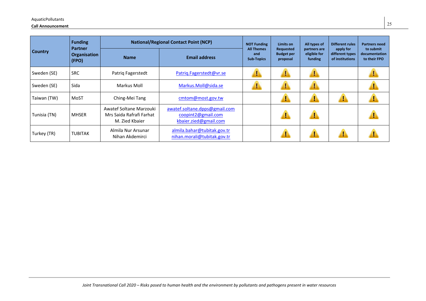### **Call Announcement** <sup>25</sup>

|                | <b>Funding</b><br>Partner<br>Organisation<br>(FPO) |                                                                       | <b>National/Regional Contact Point (NCP)</b>                                 | <b>NOT Funding</b>                            | Limits on                                         | All types of                            | <b>Different rules</b>                          | <b>Partners need</b>                       |
|----------------|----------------------------------------------------|-----------------------------------------------------------------------|------------------------------------------------------------------------------|-----------------------------------------------|---------------------------------------------------|-----------------------------------------|-------------------------------------------------|--------------------------------------------|
| <b>Country</b> |                                                    | <b>Name</b>                                                           | <b>Email address</b>                                                         | <b>All Themes</b><br>and<br><b>Sub-Topics</b> | <b>Requested</b><br><b>Budget per</b><br>proposal | partners are<br>eligible for<br>funding | apply for<br>different types<br>of institutions | to submit<br>documentation<br>to their FPO |
| Sweden (SE)    | <b>SRC</b>                                         | Patrig Fagerstedt                                                     | Patriq.Fagerstedt@vr.se                                                      |                                               |                                                   |                                         |                                                 |                                            |
| Sweden (SE)    | Sida                                               | Markus Moll                                                           | Markus.Moll@sida.se                                                          |                                               |                                                   |                                         |                                                 |                                            |
| Taiwan (TW)    | MoST                                               | Ching-Mei Tang                                                        | cmtom@most.gov.tw                                                            |                                               | н                                                 | и                                       | и                                               |                                            |
| Tunisia (TN)   | <b>MHSER</b>                                       | Awatef Soltane Marzouki<br>Mrs Saida Rafrafi Farhat<br>M. Zied Kbaier | awatef.soltane.dpps@gmail.com<br>coopint2@gmail.com<br>kbaier.zied@gmail.com |                                               | н                                                 | ı                                       |                                                 |                                            |
| Turkey (TR)    | <b>TUBITAK</b>                                     | Almila Nur Arsunar<br>Nihan Akdemirci                                 | almila.bahar@tubitak.gov.tr<br>nihan.morali@tubitak.gov.tr                   |                                               | н                                                 | н                                       |                                                 |                                            |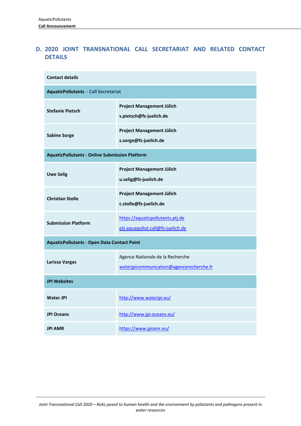# **D. 2020 JOINT TRANSNATIONAL CALL SECRETARIAT AND RELATED CONTACT DETAILS**

| <b>Contact details</b>                                |                                                                              |  |  |  |
|-------------------------------------------------------|------------------------------------------------------------------------------|--|--|--|
| <b>AquaticPollutants - Call Secretariat</b>           |                                                                              |  |  |  |
| <b>Stefanie Pietsch</b>                               | <b>Project Management Jülich</b><br>s.pietsch@fz-juelich.de                  |  |  |  |
| <b>Sabine Sorge</b>                                   | Project Management Jülich<br>s.sorge@fz-juelich.de                           |  |  |  |
| <b>AquaticPollutants - Online Submission Platform</b> |                                                                              |  |  |  |
| <b>Uwe Selig</b>                                      | Project Management Jülich<br>u.selig@fz-juelich.de                           |  |  |  |
| <b>Christian Stolle</b>                               | <b>Project Management Jülich</b><br>c.stolle@fz-juelich.de                   |  |  |  |
| <b>Submission Platform</b>                            | https://aquaticpollutants.ptj.de<br>ptj-aquapollut.call@fz-juelich.de        |  |  |  |
| <b>AquaticPollutants - Open Data Contact Point</b>    |                                                                              |  |  |  |
| Larissa Vargas                                        | Agence Nationale de la Recherche<br>waterjpicommunication@agencerecherche.fr |  |  |  |
| <b>JPI Websites</b>                                   |                                                                              |  |  |  |
| <b>Water JPI</b>                                      | http://www.waterjpi.eu/                                                      |  |  |  |
| <b>JPI Oceans</b>                                     | http://www.jpi-oceans.eu/                                                    |  |  |  |
| <b>JPI AMR</b>                                        | https://www.jpiamr.eu/                                                       |  |  |  |